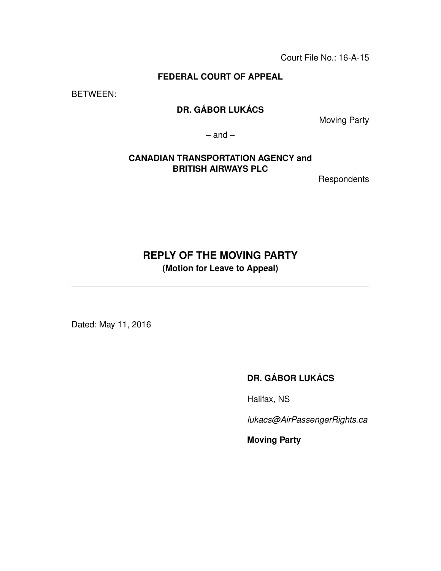Court File No.: 16-A-15

#### **FEDERAL COURT OF APPEAL**

BETWEEN:

# **DR. GÁBOR LUKÁCS**

Moving Party

 $-$  and  $-$ 

#### **CANADIAN TRANSPORTATION AGENCY and BRITISH AIRWAYS PLC**

**Respondents** 

# **REPLY OF THE MOVING PARTY**

**(Motion for Leave to Appeal)**

Dated: May 11, 2016

# **DR. GÁBOR LUKÁCS**

Halifax, NS

*lukacs@AirPassengerRights.ca*

**Moving Party**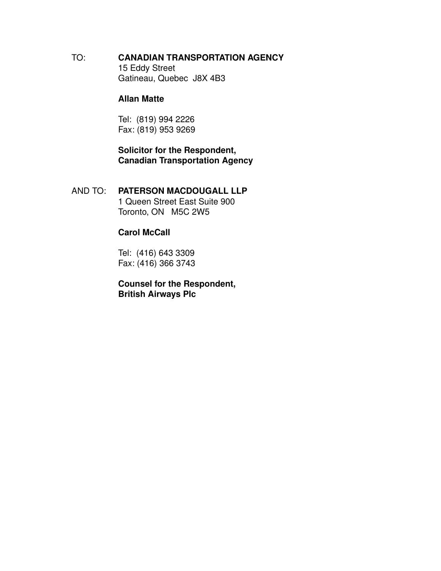TO: **CANADIAN TRANSPORTATION AGENCY** 15 Eddy Street Gatineau, Quebec J8X 4B3

#### **Allan Matte**

Tel: (819) 994 2226 Fax: (819) 953 9269

**Solicitor for the Respondent, Canadian Transportation Agency**

AND TO: **PATERSON MACDOUGALL LLP** 1 Queen Street East Suite 900 Toronto, ON M5C 2W5

#### **Carol McCall**

Tel: (416) 643 3309 Fax: (416) 366 3743

**Counsel for the Respondent, British Airways Plc**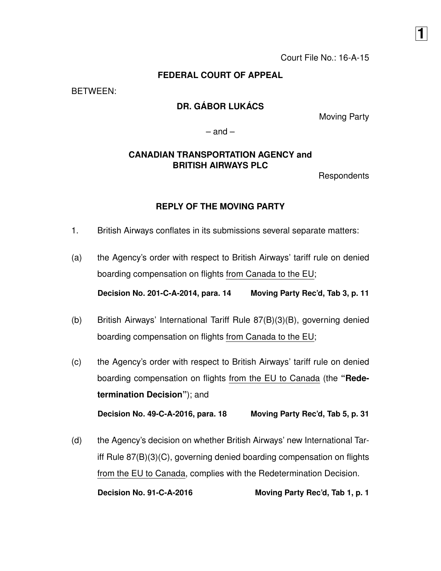#### **FEDERAL COURT OF APPEAL**

BETWEEN:

## **DR. GÁBOR LUKÁCS**

Moving Party

**1**

 $-$  and  $-$ 

#### **CANADIAN TRANSPORTATION AGENCY and BRITISH AIRWAYS PLC**

**Respondents** 

#### **REPLY OF THE MOVING PARTY**

- 1. British Airways conflates in its submissions several separate matters:
- (a) the Agency's order with respect to British Airways' tariff rule on denied boarding compensation on flights from Canada to the EU;

**Decision No. 201-C-A-2014, para. 14 Moving Party Rec'd, Tab 3, p. 11**

- (b) British Airways' International Tariff Rule 87(B)(3)(B), governing denied boarding compensation on flights from Canada to the EU;
- (c) the Agency's order with respect to British Airways' tariff rule on denied boarding compensation on flights from the EU to Canada (the **"Redetermination Decision"**); and **Decision No. 49-C-A-2016, para. 18 Moving Party Rec'd, Tab 5, p. 31**
- (d) the Agency's decision on whether British Airways' new International Tariff Rule 87(B)(3)(C), governing denied boarding compensation on flights from the EU to Canada, complies with the Redetermination Decision.

**Decision No. 91-C-A-2016 Moving Party Rec'd, Tab 1, p. 1**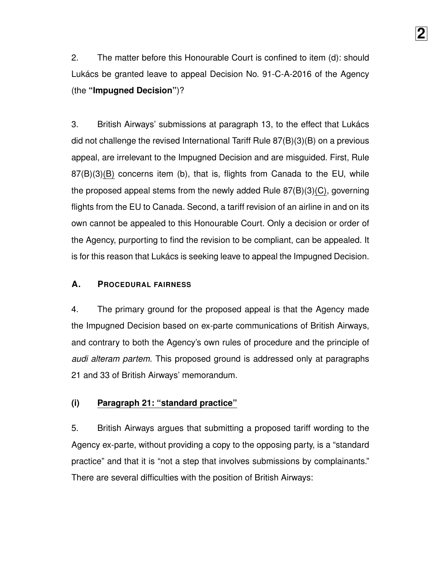2. The matter before this Honourable Court is confined to item (d): should Lukács be granted leave to appeal Decision No. 91-C-A-2016 of the Agency (the **"Impugned Decision"**)?

3. British Airways' submissions at paragraph 13, to the effect that Lukács did not challenge the revised International Tariff Rule 87(B)(3)(B) on a previous appeal, are irrelevant to the Impugned Decision and are misguided. First, Rule 87(B)(3)(B) concerns item (b), that is, flights from Canada to the EU, while the proposed appeal stems from the newly added Rule 87(B)(3)(C), governing flights from the EU to Canada. Second, a tariff revision of an airline in and on its own cannot be appealed to this Honourable Court. Only a decision or order of the Agency, purporting to find the revision to be compliant, can be appealed. It is for this reason that Lukács is seeking leave to appeal the Impugned Decision.

#### **A. PROCEDURAL FAIRNESS**

4. The primary ground for the proposed appeal is that the Agency made the Impugned Decision based on ex-parte communications of British Airways, and contrary to both the Agency's own rules of procedure and the principle of *audi alteram partem*. This proposed ground is addressed only at paragraphs 21 and 33 of British Airways' memorandum.

### **(i) Paragraph 21: "standard practice"**

5. British Airways argues that submitting a proposed tariff wording to the Agency ex-parte, without providing a copy to the opposing party, is a "standard practice" and that it is "not a step that involves submissions by complainants." There are several difficulties with the position of British Airways: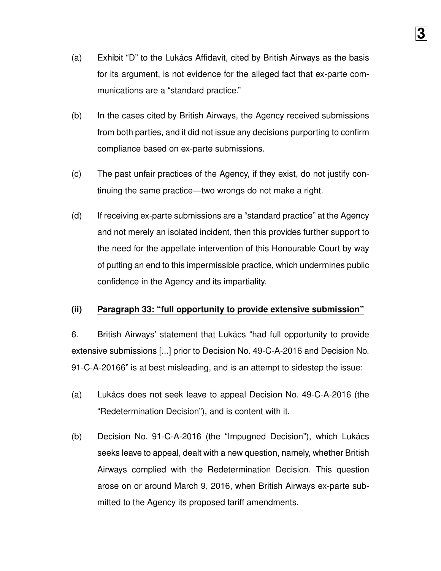(a) Exhibit "D" to the Lukács Affidavit, cited by British Airways as the basis for its argument, is not evidence for the alleged fact that ex-parte communications are a "standard practice."

**3**

- (b) In the cases cited by British Airways, the Agency received submissions from both parties, and it did not issue any decisions purporting to confirm compliance based on ex-parte submissions.
- (c) The past unfair practices of the Agency, if they exist, do not justify continuing the same practice—two wrongs do not make a right.
- (d) If receiving ex-parte submissions are a "standard practice" at the Agency and not merely an isolated incident, then this provides further support to the need for the appellate intervention of this Honourable Court by way of putting an end to this impermissible practice, which undermines public confidence in the Agency and its impartiality.

### **(ii) Paragraph 33: "full opportunity to provide extensive submission"**

6. British Airways' statement that Lukács "had full opportunity to provide extensive submissions [...] prior to Decision No. 49-C-A-2016 and Decision No. 91-C-A-20166" is at best misleading, and is an attempt to sidestep the issue:

- (a) Lukács does not seek leave to appeal Decision No. 49-C-A-2016 (the "Redetermination Decision"), and is content with it.
- (b) Decision No. 91-C-A-2016 (the "Impugned Decision"), which Lukács seeks leave to appeal, dealt with a new question, namely, whether British Airways complied with the Redetermination Decision. This question arose on or around March 9, 2016, when British Airways ex-parte submitted to the Agency its proposed tariff amendments.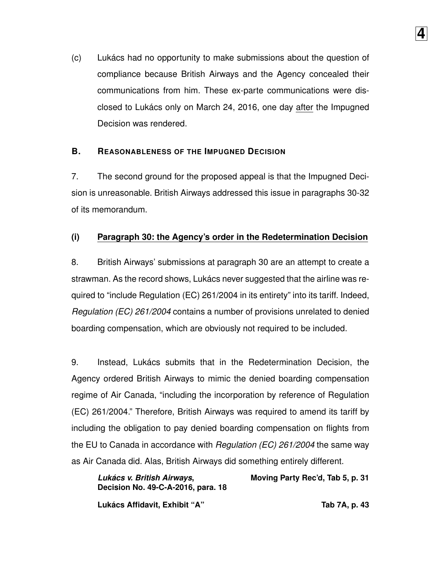(c) Lukács had no opportunity to make submissions about the question of compliance because British Airways and the Agency concealed their communications from him. These ex-parte communications were disclosed to Lukács only on March 24, 2016, one day after the Impugned Decision was rendered.

**4**

### **B. REASONABLENESS OF THE IMPUGNED DECISION**

7. The second ground for the proposed appeal is that the Impugned Decision is unreasonable. British Airways addressed this issue in paragraphs 30-32 of its memorandum.

#### **(i) Paragraph 30: the Agency's order in the Redetermination Decision**

8. British Airways' submissions at paragraph 30 are an attempt to create a strawman. As the record shows, Lukács never suggested that the airline was required to "include Regulation (EC) 261/2004 in its entirety" into its tariff. Indeed, *Regulation (EC) 261/2004* contains a number of provisions unrelated to denied boarding compensation, which are obviously not required to be included.

9. Instead, Lukács submits that in the Redetermination Decision, the Agency ordered British Airways to mimic the denied boarding compensation regime of Air Canada, "including the incorporation by reference of Regulation (EC) 261/2004." Therefore, British Airways was required to amend its tariff by including the obligation to pay denied boarding compensation on flights from the EU to Canada in accordance with *Regulation (EC) 261/2004* the same way as Air Canada did. Alas, British Airways did something entirely different.

*Lukács v. British Airways***, Decision No. 49-C-A-2016, para. 18 Moving Party Rec'd, Tab 5, p. 31 Lukács Affidavit, Exhibit "A" Tab 7A, p. 43**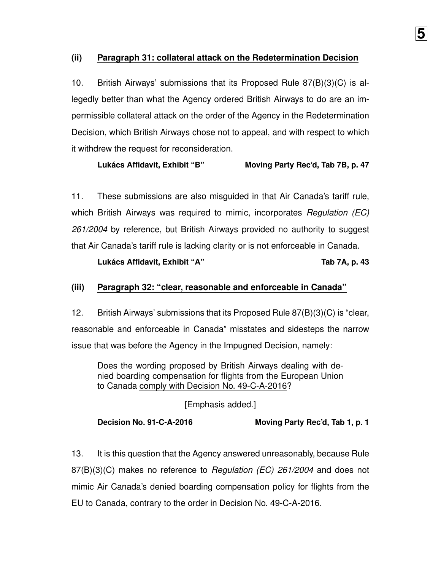#### **(ii) Paragraph 31: collateral attack on the Redetermination Decision**

10. British Airways' submissions that its Proposed Rule 87(B)(3)(C) is allegedly better than what the Agency ordered British Airways to do are an impermissible collateral attack on the order of the Agency in the Redetermination Decision, which British Airways chose not to appeal, and with respect to which it withdrew the request for reconsideration.

### **Lukács Affidavit, Exhibit "B" Moving Party Rec'd, Tab 7B, p. 47**

11. These submissions are also misguided in that Air Canada's tariff rule, which British Airways was required to mimic, incorporates *Regulation (EC) 261/2004* by reference, but British Airways provided no authority to suggest that Air Canada's tariff rule is lacking clarity or is not enforceable in Canada.

#### **Lukács Affidavit, Exhibit "A" Tab 7A, p. 43**

#### **(iii) Paragraph 32: "clear, reasonable and enforceable in Canada"**

12. British Airways' submissions that its Proposed Rule 87(B)(3)(C) is "clear, reasonable and enforceable in Canada" misstates and sidesteps the narrow issue that was before the Agency in the Impugned Decision, namely:

Does the wording proposed by British Airways dealing with denied boarding compensation for flights from the European Union to Canada comply with Decision No. 49-C-A-2016?

[Emphasis added.]

**Decision No. 91-C-A-2016 Moving Party Rec'd, Tab 1, p. 1**

13. It is this question that the Agency answered unreasonably, because Rule 87(B)(3)(C) makes no reference to *Regulation (EC) 261/2004* and does not mimic Air Canada's denied boarding compensation policy for flights from the EU to Canada, contrary to the order in Decision No. 49-C-A-2016.